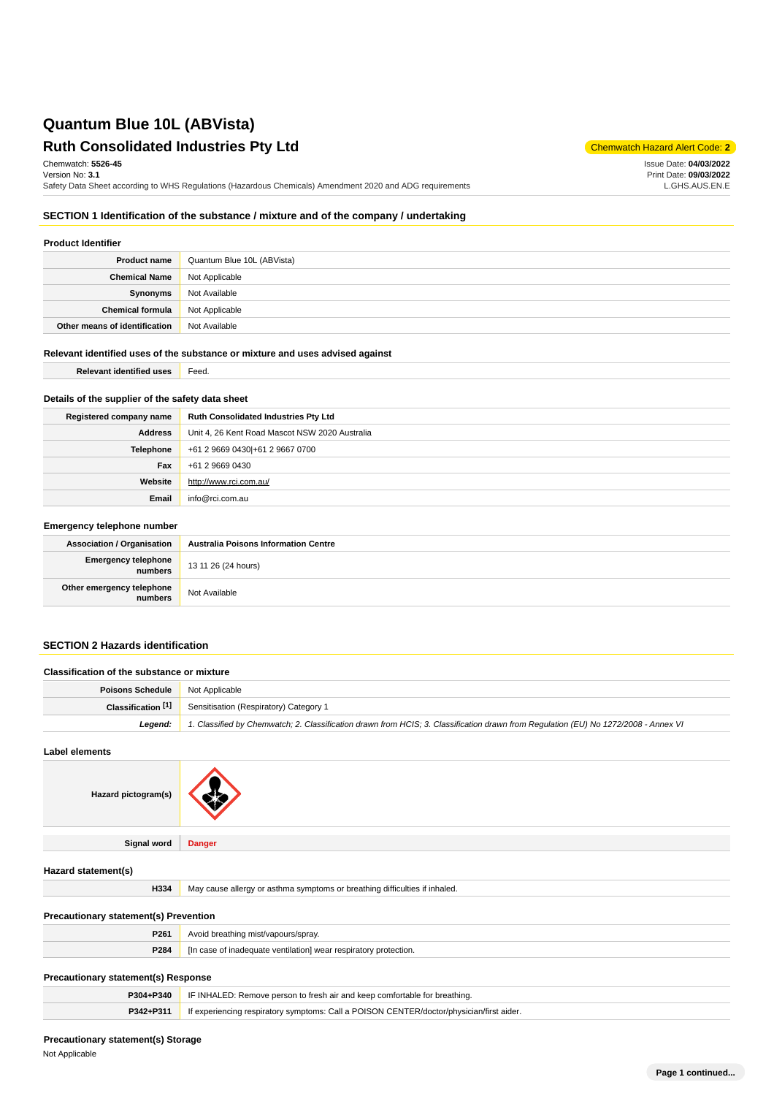# **Ruth Consolidated Industries Pty Ltd** Chemmatch Hazard Alert Code: 2

Chemwatch: **5526-45**

Version No: **3.1** Safety Data Sheet according to WHS Regulations (Hazardous Chemicals) Amendment 2020 and ADG requirements Issue Date: **04/03/2022** Print Date: **09/03/2022** L.GHS.AUS.EN.E

## **SECTION 1 Identification of the substance / mixture and of the company / undertaking**

## **Product Identifier**

| <b>Product name</b>           | Quantum Blue 10L (ABVista) |
|-------------------------------|----------------------------|
| <b>Chemical Name</b>          | Not Applicable             |
| Synonyms                      | Not Available              |
| <b>Chemical formula</b>       | Not Applicable             |
| Other means of identification | Not Available              |

## **Relevant identified uses of the substance or mixture and uses advised against**

**Relevant identified uses Feed.** 

## **Details of the supplier of the safety data sheet**

| Registered company name | Ruth Consolidated Industries Pty Ltd           |
|-------------------------|------------------------------------------------|
| Address                 | Unit 4, 26 Kent Road Mascot NSW 2020 Australia |
| Telephone               | +61 2 9669 0430 + 61 2 9667 0700               |
| Fax                     | +61 2 9669 0430                                |
| Website                 | http://www.rci.com.au/                         |
| Email                   | info@rci.com.au                                |

## **Emergency telephone number**

| <b>Association / Organisation</b>    | <b>Australia Poisons Information Centre</b> |
|--------------------------------------|---------------------------------------------|
| Emergency telephone<br>numbers       | 13 11 26 (24 hours)                         |
| Other emergency telephone<br>numbers | Not Available                               |

## **SECTION 2 Hazards identification**

| Classification of the substance or mixture |                                                                                                                                     |
|--------------------------------------------|-------------------------------------------------------------------------------------------------------------------------------------|
| Poisons Schedule                           | Not Applicable                                                                                                                      |
| Classification [1]                         | Sensitisation (Respiratory) Category 1                                                                                              |
| Leaend:                                    | 1. Classified by Chemwatch; 2. Classification drawn from HCIS; 3. Classification drawn from Regulation (EU) No 1272/2008 - Annex VI |

**Label elements**

| Hazard pictogram(s)                          |                                                                                          |  |
|----------------------------------------------|------------------------------------------------------------------------------------------|--|
| Signal word                                  | <b>Danger</b>                                                                            |  |
| Hazard statement(s)                          |                                                                                          |  |
| H334                                         | May cause allergy or asthma symptoms or breathing difficulties if inhaled.               |  |
| <b>Precautionary statement(s) Prevention</b> |                                                                                          |  |
| P261                                         | Avoid breathing mist/vapours/spray.                                                      |  |
| P284                                         | [In case of inadequate ventilation] wear respiratory protection.                         |  |
| Precautionary statement(s) Response          |                                                                                          |  |
| P304+P340                                    | IF INHALED: Remove person to fresh air and keep comfortable for breathing.               |  |
| P342+P311                                    | If experiencing respiratory symptoms: Call a POISON CENTER/doctor/physician/first aider. |  |

# **Precautionary statement(s) Storage**

Not Applicable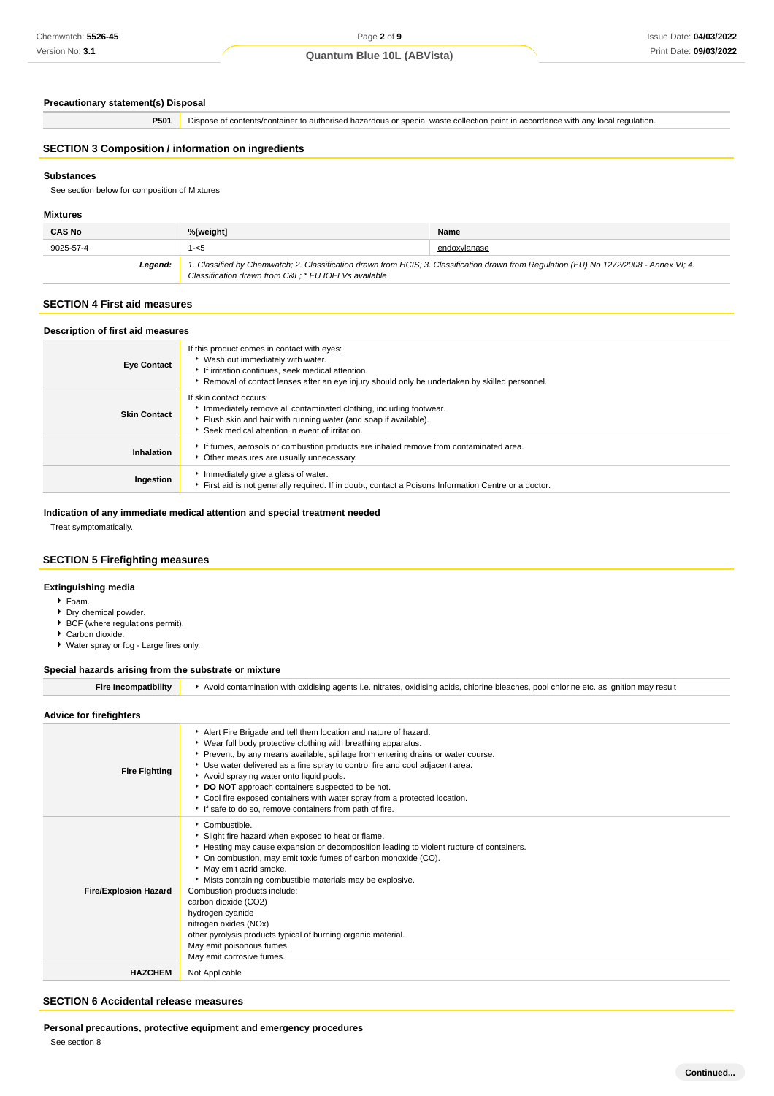# Page **2** of **9**

## **Quantum Blue 10L (ABVista)**

#### **Precautionary statement(s) Disposal**

**P501** Dispose of contents/container to authorised hazardous or special waste collection point in accordance with any local regulation.

## **SECTION 3 Composition / information on ingredients**

#### **Substances**

See section below for composition of Mixtures

#### **Mixtures**

| <b>CAS No</b> | %[weight]                                            | Name                                                                                                                                    |
|---------------|------------------------------------------------------|-----------------------------------------------------------------------------------------------------------------------------------------|
| 9025-57-4     | 1-<5                                                 | endoxylanase                                                                                                                            |
| Legend:       | Classification drawn from C&L: * EU IOELVs available | 1. Classified by Chemwatch; 2. Classification drawn from HCIS; 3. Classification drawn from Regulation (EU) No 1272/2008 - Annex VI; 4. |

## **SECTION 4 First aid measures**

|  |  | Description of first aid measures |  |
|--|--|-----------------------------------|--|
|--|--|-----------------------------------|--|

| <b>Eye Contact</b>  | If this product comes in contact with eyes:<br>▶ Wash out immediately with water.<br>If irritation continues, seek medical attention.<br>Removal of contact lenses after an eye injury should only be undertaken by skilled personnel. |
|---------------------|----------------------------------------------------------------------------------------------------------------------------------------------------------------------------------------------------------------------------------------|
| <b>Skin Contact</b> | If skin contact occurs:<br>Immediately remove all contaminated clothing, including footwear.<br>Filush skin and hair with running water (and soap if available).<br>Seek medical attention in event of irritation.                     |
| Inhalation          | If fumes, aerosols or combustion products are inhaled remove from contaminated area.<br>• Other measures are usually unnecessary.                                                                                                      |
| Ingestion           | Immediately give a glass of water.<br>First aid is not generally required. If in doubt, contact a Poisons Information Centre or a doctor.                                                                                              |

### **Indication of any immediate medical attention and special treatment needed**

Treat symptomatically.

## **SECTION 5 Firefighting measures**

#### **Extinguishing media**

- Foam.
- Dry chemical powder.
- **BCF** (where regulations permit).
- Carbon dioxide.
- Water spray or fog Large fires only.

## **Special hazards arising from the substrate or mixture**

| <b>Fire Incompatibility</b>  | Avoid contamination with oxidising agents i.e. nitrates, oxidising acids, chlorine bleaches, pool chlorine etc. as ignition may result                                                                                                                                                                                                                                                                                                                                                                                                           |
|------------------------------|--------------------------------------------------------------------------------------------------------------------------------------------------------------------------------------------------------------------------------------------------------------------------------------------------------------------------------------------------------------------------------------------------------------------------------------------------------------------------------------------------------------------------------------------------|
| Advice for firefighters      |                                                                                                                                                                                                                                                                                                                                                                                                                                                                                                                                                  |
| <b>Fire Fighting</b>         | Alert Fire Brigade and tell them location and nature of hazard.<br>▶ Wear full body protective clothing with breathing apparatus.<br>▶ Prevent, by any means available, spillage from entering drains or water course.<br>► Use water delivered as a fine spray to control fire and cool adjacent area.<br>Avoid spraying water onto liquid pools.<br>DO NOT approach containers suspected to be hot.<br>Cool fire exposed containers with water spray from a protected location.<br>If safe to do so, remove containers from path of fire.      |
| <b>Fire/Explosion Hazard</b> | Combustible.<br>Slight fire hazard when exposed to heat or flame.<br>Heating may cause expansion or decomposition leading to violent rupture of containers.<br>On combustion, may emit toxic fumes of carbon monoxide (CO).<br>May emit acrid smoke.<br>Mists containing combustible materials may be explosive.<br>Combustion products include:<br>carbon dioxide (CO2)<br>hydrogen cyanide<br>nitrogen oxides (NOx)<br>other pyrolysis products typical of burning organic material.<br>May emit poisonous fumes.<br>May emit corrosive fumes. |
| <b>HAZCHEM</b>               | Not Applicable                                                                                                                                                                                                                                                                                                                                                                                                                                                                                                                                   |

### **SECTION 6 Accidental release measures**

**Personal precautions, protective equipment and emergency procedures**

See section 8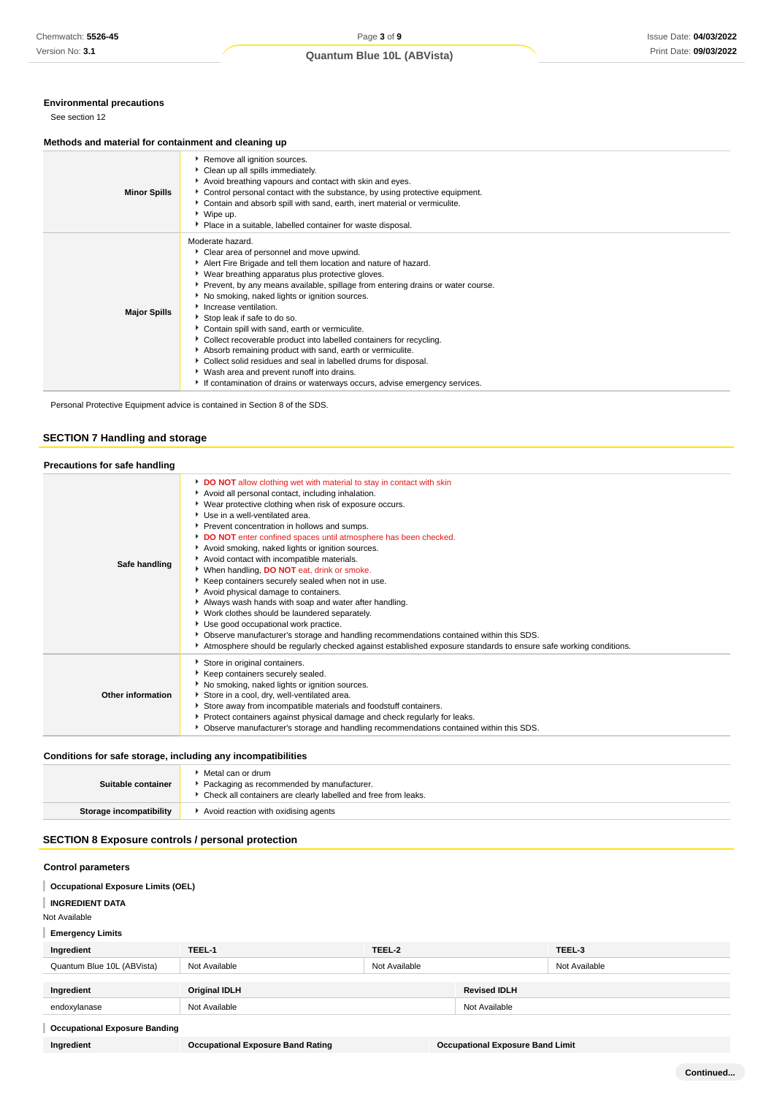## **Environmental precautions**

See section 12

#### **Methods and material for containment and cleaning up**

| <b>Minor Spills</b> | Remove all ignition sources.<br>Clean up all spills immediately.<br>Avoid breathing vapours and contact with skin and eyes.<br>▶ Control personal contact with the substance, by using protective equipment.<br>Contain and absorb spill with sand, earth, inert material or vermiculite.<br>▶ Wipe up.<br>• Place in a suitable, labelled container for waste disposal.                                                                                                                                                                                                                                                                                                                                                                                                    |
|---------------------|-----------------------------------------------------------------------------------------------------------------------------------------------------------------------------------------------------------------------------------------------------------------------------------------------------------------------------------------------------------------------------------------------------------------------------------------------------------------------------------------------------------------------------------------------------------------------------------------------------------------------------------------------------------------------------------------------------------------------------------------------------------------------------|
| <b>Major Spills</b> | Moderate hazard.<br>Clear area of personnel and move upwind.<br>Alert Fire Brigade and tell them location and nature of hazard.<br>• Wear breathing apparatus plus protective gloves.<br>▶ Prevent, by any means available, spillage from entering drains or water course.<br>No smoking, naked lights or ignition sources.<br>Increase ventilation.<br>Stop leak if safe to do so.<br>Contain spill with sand, earth or vermiculite.<br>• Collect recoverable product into labelled containers for recycling.<br>Absorb remaining product with sand, earth or vermiculite.<br>Collect solid residues and seal in labelled drums for disposal.<br>▶ Wash area and prevent runoff into drains.<br>If contamination of drains or waterways occurs, advise emergency services. |

Personal Protective Equipment advice is contained in Section 8 of the SDS.

## **SECTION 7 Handling and storage**

## **Precautions for safe handling**

| Safe handling     | DO NOT allow clothing wet with material to stay in contact with skin<br>Avoid all personal contact, including inhalation.<br>▶ Wear protective clothing when risk of exposure occurs.<br>Use in a well-ventilated area.<br>Prevent concentration in hollows and sumps.<br>DO NOT enter confined spaces until atmosphere has been checked.<br>Avoid smoking, naked lights or ignition sources.<br>Avoid contact with incompatible materials.<br>When handling, DO NOT eat, drink or smoke.<br>Keep containers securely sealed when not in use.<br>Avoid physical damage to containers.<br>Always wash hands with soap and water after handling.<br>▶ Work clothes should be laundered separately.<br>Use good occupational work practice.<br>▶ Observe manufacturer's storage and handling recommendations contained within this SDS.<br>Atmosphere should be regularly checked against established exposure standards to ensure safe working conditions. |
|-------------------|----------------------------------------------------------------------------------------------------------------------------------------------------------------------------------------------------------------------------------------------------------------------------------------------------------------------------------------------------------------------------------------------------------------------------------------------------------------------------------------------------------------------------------------------------------------------------------------------------------------------------------------------------------------------------------------------------------------------------------------------------------------------------------------------------------------------------------------------------------------------------------------------------------------------------------------------------------|
| Other information | Store in original containers.<br>Keep containers securely sealed.<br>No smoking, naked lights or ignition sources.<br>Store in a cool, dry, well-ventilated area.<br>Store away from incompatible materials and foodstuff containers.<br>Protect containers against physical damage and check regularly for leaks.<br>▶ Observe manufacturer's storage and handling recommendations contained within this SDS.                                                                                                                                                                                                                                                                                                                                                                                                                                                                                                                                           |

#### **Conditions for safe storage, including any incompatibilities**

| Suitable container      | Metal can or drum<br>Packaging as recommended by manufacturer.<br>Check all containers are clearly labelled and free from leaks. |
|-------------------------|----------------------------------------------------------------------------------------------------------------------------------|
| Storage incompatibility | Avoid reaction with oxidising agents                                                                                             |

## **SECTION 8 Exposure controls / personal protection**

### **Control parameters**

**Occupational Exposure Limits (OEL)**

**INGREDIENT DATA**

Not Available

**Emergency Limits**

| Ingredient                           | TEEL-1        | TEEL-2        |                     | TEEL-3        |
|--------------------------------------|---------------|---------------|---------------------|---------------|
| Quantum Blue 10L (ABVista)           | Not Available | Not Available |                     | Not Available |
|                                      |               |               |                     |               |
| Ingredient                           | Original IDLH |               | <b>Revised IDLH</b> |               |
| endoxylanase                         | Not Available |               | Not Available       |               |
| <b>Occupational Exposure Banding</b> |               |               |                     |               |

**Ingredient Occupational Exposure Band Rating Occupational Exposure Band Limit**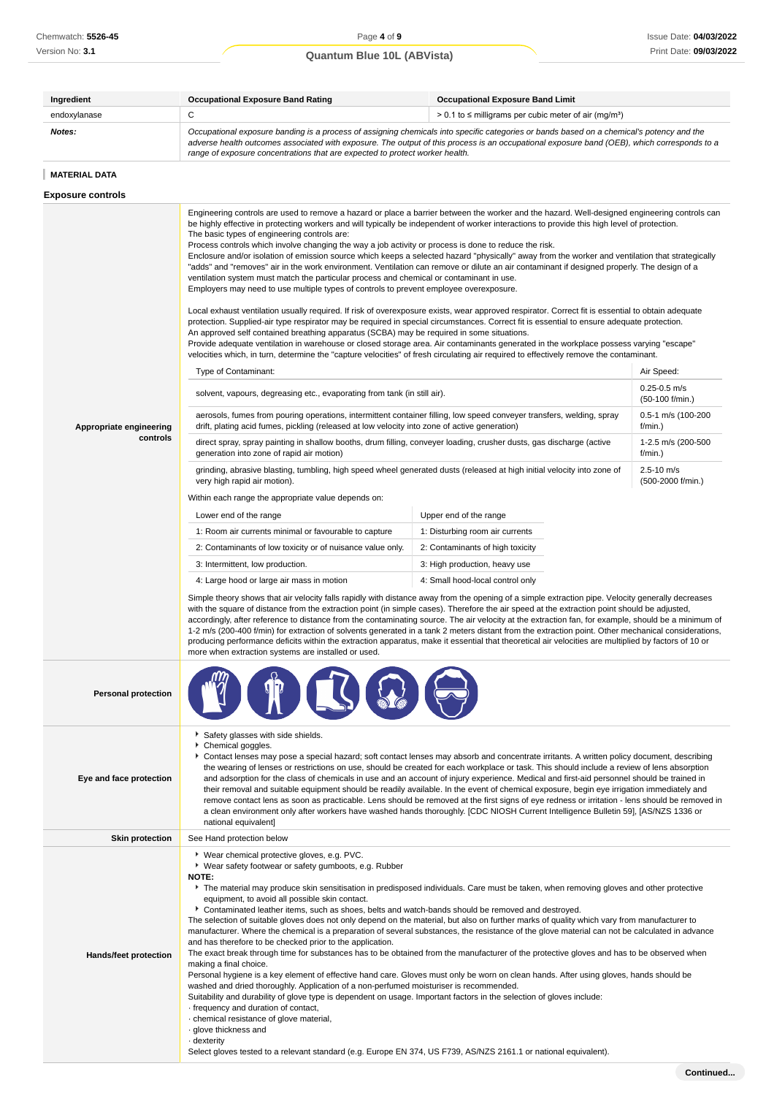| Ingredient                          | <b>Occupational Exposure Band Rating</b>                                                                                                                                                                                                                                                                                                                                                                                                                                                                                                                                                                                                                                                                                                                                                                                                                                                                                                                                                                                                                                                                                                                                                                                                                                                                                                                                                                                                                                                                                                                                                                                                                                                                                                                                                                                                                                                                                                                                                                                                                                                                                                                                                                                                                                                                                                                                                                                                                                                                                                                                                                                                                                                                                                                                                                                                                                                                                                                                                                                                                                                                                                                                                                                                                                                                                                                                                                                     | <b>Occupational Exposure Band Limit</b>                                                                                                                                                                                                                                                                                                                                                                                                                                                                                                                                                                                                                                                                                                                                                                                                                                     |                                                                                                                                                                  |  |
|-------------------------------------|------------------------------------------------------------------------------------------------------------------------------------------------------------------------------------------------------------------------------------------------------------------------------------------------------------------------------------------------------------------------------------------------------------------------------------------------------------------------------------------------------------------------------------------------------------------------------------------------------------------------------------------------------------------------------------------------------------------------------------------------------------------------------------------------------------------------------------------------------------------------------------------------------------------------------------------------------------------------------------------------------------------------------------------------------------------------------------------------------------------------------------------------------------------------------------------------------------------------------------------------------------------------------------------------------------------------------------------------------------------------------------------------------------------------------------------------------------------------------------------------------------------------------------------------------------------------------------------------------------------------------------------------------------------------------------------------------------------------------------------------------------------------------------------------------------------------------------------------------------------------------------------------------------------------------------------------------------------------------------------------------------------------------------------------------------------------------------------------------------------------------------------------------------------------------------------------------------------------------------------------------------------------------------------------------------------------------------------------------------------------------------------------------------------------------------------------------------------------------------------------------------------------------------------------------------------------------------------------------------------------------------------------------------------------------------------------------------------------------------------------------------------------------------------------------------------------------------------------------------------------------------------------------------------------------------------------------------------------------------------------------------------------------------------------------------------------------------------------------------------------------------------------------------------------------------------------------------------------------------------------------------------------------------------------------------------------------------------------------------------------------------------------------------------------------|-----------------------------------------------------------------------------------------------------------------------------------------------------------------------------------------------------------------------------------------------------------------------------------------------------------------------------------------------------------------------------------------------------------------------------------------------------------------------------------------------------------------------------------------------------------------------------------------------------------------------------------------------------------------------------------------------------------------------------------------------------------------------------------------------------------------------------------------------------------------------------|------------------------------------------------------------------------------------------------------------------------------------------------------------------|--|
| endoxylanase                        | C                                                                                                                                                                                                                                                                                                                                                                                                                                                                                                                                                                                                                                                                                                                                                                                                                                                                                                                                                                                                                                                                                                                                                                                                                                                                                                                                                                                                                                                                                                                                                                                                                                                                                                                                                                                                                                                                                                                                                                                                                                                                                                                                                                                                                                                                                                                                                                                                                                                                                                                                                                                                                                                                                                                                                                                                                                                                                                                                                                                                                                                                                                                                                                                                                                                                                                                                                                                                                            | $> 0.1$ to $\leq$ milligrams per cubic meter of air (mg/m <sup>3</sup> )                                                                                                                                                                                                                                                                                                                                                                                                                                                                                                                                                                                                                                                                                                                                                                                                    |                                                                                                                                                                  |  |
| Notes:                              | Occupational exposure banding is a process of assigning chemicals into specific categories or bands based on a chemical's potency and the<br>adverse health outcomes associated with exposure. The output of this process is an occupational exposure band (OEB), which corresponds to a<br>range of exposure concentrations that are expected to protect worker health.                                                                                                                                                                                                                                                                                                                                                                                                                                                                                                                                                                                                                                                                                                                                                                                                                                                                                                                                                                                                                                                                                                                                                                                                                                                                                                                                                                                                                                                                                                                                                                                                                                                                                                                                                                                                                                                                                                                                                                                                                                                                                                                                                                                                                                                                                                                                                                                                                                                                                                                                                                                                                                                                                                                                                                                                                                                                                                                                                                                                                                                     |                                                                                                                                                                                                                                                                                                                                                                                                                                                                                                                                                                                                                                                                                                                                                                                                                                                                             |                                                                                                                                                                  |  |
| <b>MATERIAL DATA</b>                |                                                                                                                                                                                                                                                                                                                                                                                                                                                                                                                                                                                                                                                                                                                                                                                                                                                                                                                                                                                                                                                                                                                                                                                                                                                                                                                                                                                                                                                                                                                                                                                                                                                                                                                                                                                                                                                                                                                                                                                                                                                                                                                                                                                                                                                                                                                                                                                                                                                                                                                                                                                                                                                                                                                                                                                                                                                                                                                                                                                                                                                                                                                                                                                                                                                                                                                                                                                                                              |                                                                                                                                                                                                                                                                                                                                                                                                                                                                                                                                                                                                                                                                                                                                                                                                                                                                             |                                                                                                                                                                  |  |
| <b>Exposure controls</b>            |                                                                                                                                                                                                                                                                                                                                                                                                                                                                                                                                                                                                                                                                                                                                                                                                                                                                                                                                                                                                                                                                                                                                                                                                                                                                                                                                                                                                                                                                                                                                                                                                                                                                                                                                                                                                                                                                                                                                                                                                                                                                                                                                                                                                                                                                                                                                                                                                                                                                                                                                                                                                                                                                                                                                                                                                                                                                                                                                                                                                                                                                                                                                                                                                                                                                                                                                                                                                                              |                                                                                                                                                                                                                                                                                                                                                                                                                                                                                                                                                                                                                                                                                                                                                                                                                                                                             |                                                                                                                                                                  |  |
| Appropriate engineering<br>controls | Engineering controls are used to remove a hazard or place a barrier between the worker and the hazard. Well-designed engineering controls can<br>be highly effective in protecting workers and will typically be independent of worker interactions to provide this high level of protection.<br>The basic types of engineering controls are:<br>Process controls which involve changing the way a job activity or process is done to reduce the risk.<br>Enclosure and/or isolation of emission source which keeps a selected hazard "physically" away from the worker and ventilation that strategically<br>"adds" and "removes" air in the work environment. Ventilation can remove or dilute an air contaminant if designed properly. The design of a<br>ventilation system must match the particular process and chemical or contaminant in use.<br>Employers may need to use multiple types of controls to prevent employee overexposure.<br>Local exhaust ventilation usually required. If risk of overexposure exists, wear approved respirator. Correct fit is essential to obtain adequate<br>protection. Supplied-air type respirator may be required in special circumstances. Correct fit is essential to ensure adequate protection.<br>An approved self contained breathing apparatus (SCBA) may be required in some situations.<br>Provide adequate ventilation in warehouse or closed storage area. Air contaminants generated in the workplace possess varying "escape"<br>velocities which, in turn, determine the "capture velocities" of fresh circulating air required to effectively remove the contaminant.<br>Type of Contaminant:<br>solvent, vapours, degreasing etc., evaporating from tank (in still air).<br>aerosols, fumes from pouring operations, intermittent container filling, low speed conveyer transfers, welding, spray<br>drift, plating acid fumes, pickling (released at low velocity into zone of active generation)<br>direct spray, spray painting in shallow booths, drum filling, conveyer loading, crusher dusts, gas discharge (active<br>generation into zone of rapid air motion)<br>grinding, abrasive blasting, tumbling, high speed wheel generated dusts (released at high initial velocity into zone of<br>very high rapid air motion).<br>Within each range the appropriate value depends on:<br>Lower end of the range<br>1: Room air currents minimal or favourable to capture<br>2: Contaminants of low toxicity or of nuisance value only.<br>3: Intermittent, low production.<br>4: Large hood or large air mass in motion<br>Simple theory shows that air velocity falls rapidly with distance away from the opening of a simple extraction pipe. Velocity generally decreases<br>with the square of distance from the extraction point (in simple cases). Therefore the air speed at the extraction point should be adjusted,<br>accordingly, after reference to distance from the contaminating source. The air velocity at the extraction fan, for example, should be a minimum of<br>1-2 m/s (200-400 f/min) for extraction of solvents generated in a tank 2 meters distant from the extraction point. Other mechanical considerations,<br>producing performance deficits within the extraction apparatus, make it essential that theoretical air velocities are multiplied by factors of 10 or<br>more when extraction systems are installed or used. | Upper end of the range<br>1: Disturbing room air currents<br>2: Contaminants of high toxicity<br>3: High production, heavy use<br>4: Small hood-local control only                                                                                                                                                                                                                                                                                                                                                                                                                                                                                                                                                                                                                                                                                                          | Air Speed:<br>$0.25 - 0.5$ m/s<br>$(50-100)$ f/min.)<br>0.5-1 m/s (100-200<br>f/min.)<br>1-2.5 m/s (200-500<br>$f/min.$ )<br>$2.5 - 10$ m/s<br>(500-2000 f/min.) |  |
| <b>Personal protection</b>          |                                                                                                                                                                                                                                                                                                                                                                                                                                                                                                                                                                                                                                                                                                                                                                                                                                                                                                                                                                                                                                                                                                                                                                                                                                                                                                                                                                                                                                                                                                                                                                                                                                                                                                                                                                                                                                                                                                                                                                                                                                                                                                                                                                                                                                                                                                                                                                                                                                                                                                                                                                                                                                                                                                                                                                                                                                                                                                                                                                                                                                                                                                                                                                                                                                                                                                                                                                                                                              |                                                                                                                                                                                                                                                                                                                                                                                                                                                                                                                                                                                                                                                                                                                                                                                                                                                                             |                                                                                                                                                                  |  |
| Eye and face protection             | Safety glasses with side shields.<br>Chemical goggles.<br>national equivalent]                                                                                                                                                                                                                                                                                                                                                                                                                                                                                                                                                                                                                                                                                                                                                                                                                                                                                                                                                                                                                                                                                                                                                                                                                                                                                                                                                                                                                                                                                                                                                                                                                                                                                                                                                                                                                                                                                                                                                                                                                                                                                                                                                                                                                                                                                                                                                                                                                                                                                                                                                                                                                                                                                                                                                                                                                                                                                                                                                                                                                                                                                                                                                                                                                                                                                                                                               | Contact lenses may pose a special hazard; soft contact lenses may absorb and concentrate irritants. A written policy document, describing<br>the wearing of lenses or restrictions on use, should be created for each workplace or task. This should include a review of lens absorption<br>and adsorption for the class of chemicals in use and an account of injury experience. Medical and first-aid personnel should be trained in<br>their removal and suitable equipment should be readily available. In the event of chemical exposure, begin eye irrigation immediately and<br>remove contact lens as soon as practicable. Lens should be removed at the first signs of eye redness or irritation - lens should be removed in<br>a clean environment only after workers have washed hands thoroughly. [CDC NIOSH Current Intelligence Bulletin 59], [AS/NZS 1336 or |                                                                                                                                                                  |  |
| <b>Skin protection</b>              | See Hand protection below                                                                                                                                                                                                                                                                                                                                                                                                                                                                                                                                                                                                                                                                                                                                                                                                                                                                                                                                                                                                                                                                                                                                                                                                                                                                                                                                                                                                                                                                                                                                                                                                                                                                                                                                                                                                                                                                                                                                                                                                                                                                                                                                                                                                                                                                                                                                                                                                                                                                                                                                                                                                                                                                                                                                                                                                                                                                                                                                                                                                                                                                                                                                                                                                                                                                                                                                                                                                    |                                                                                                                                                                                                                                                                                                                                                                                                                                                                                                                                                                                                                                                                                                                                                                                                                                                                             |                                                                                                                                                                  |  |
|                                     | ▶ Wear chemical protective gloves, e.g. PVC.                                                                                                                                                                                                                                                                                                                                                                                                                                                                                                                                                                                                                                                                                                                                                                                                                                                                                                                                                                                                                                                                                                                                                                                                                                                                                                                                                                                                                                                                                                                                                                                                                                                                                                                                                                                                                                                                                                                                                                                                                                                                                                                                                                                                                                                                                                                                                                                                                                                                                                                                                                                                                                                                                                                                                                                                                                                                                                                                                                                                                                                                                                                                                                                                                                                                                                                                                                                 |                                                                                                                                                                                                                                                                                                                                                                                                                                                                                                                                                                                                                                                                                                                                                                                                                                                                             |                                                                                                                                                                  |  |
|                                     | ▶ Wear safety footwear or safety gumboots, e.g. Rubber<br>NOTE:                                                                                                                                                                                                                                                                                                                                                                                                                                                                                                                                                                                                                                                                                                                                                                                                                                                                                                                                                                                                                                                                                                                                                                                                                                                                                                                                                                                                                                                                                                                                                                                                                                                                                                                                                                                                                                                                                                                                                                                                                                                                                                                                                                                                                                                                                                                                                                                                                                                                                                                                                                                                                                                                                                                                                                                                                                                                                                                                                                                                                                                                                                                                                                                                                                                                                                                                                              | The material may produce skin sensitisation in predisposed individuals. Care must be taken, when removing gloves and other protective                                                                                                                                                                                                                                                                                                                                                                                                                                                                                                                                                                                                                                                                                                                                       |                                                                                                                                                                  |  |

equipment, to avoid all possible skin contact.

Contaminated leather items, such as shoes, belts and watch-bands should be removed and destroyed.

The selection of suitable gloves does not only depend on the material, but also on further marks of quality which vary from manufacturer to manufacturer. Where the chemical is a preparation of several substances, the resistance of the glove material can not be calculated in advance and has therefore to be checked prior to the application.

The exact break through time for substances has to be obtained from the manufacturer of the protective gloves and has to be observed when making a final choice.

Personal hygiene is a key element of effective hand care. Gloves must only be worn on clean hands. After using gloves, hands should be washed and dried thoroughly. Application of a non-perfumed moisturiser is recommended.

Suitability and durability of glove type is dependent on usage. Important factors in the selection of gloves include:

- · frequency and duration of contact,
- · chemical resistance of glove material,
- · glove thickness and
- · dexterity

**Hands/feet protection**

Select gloves tested to a relevant standard (e.g. Europe EN 374, US F739, AS/NZS 2161.1 or national equivalent).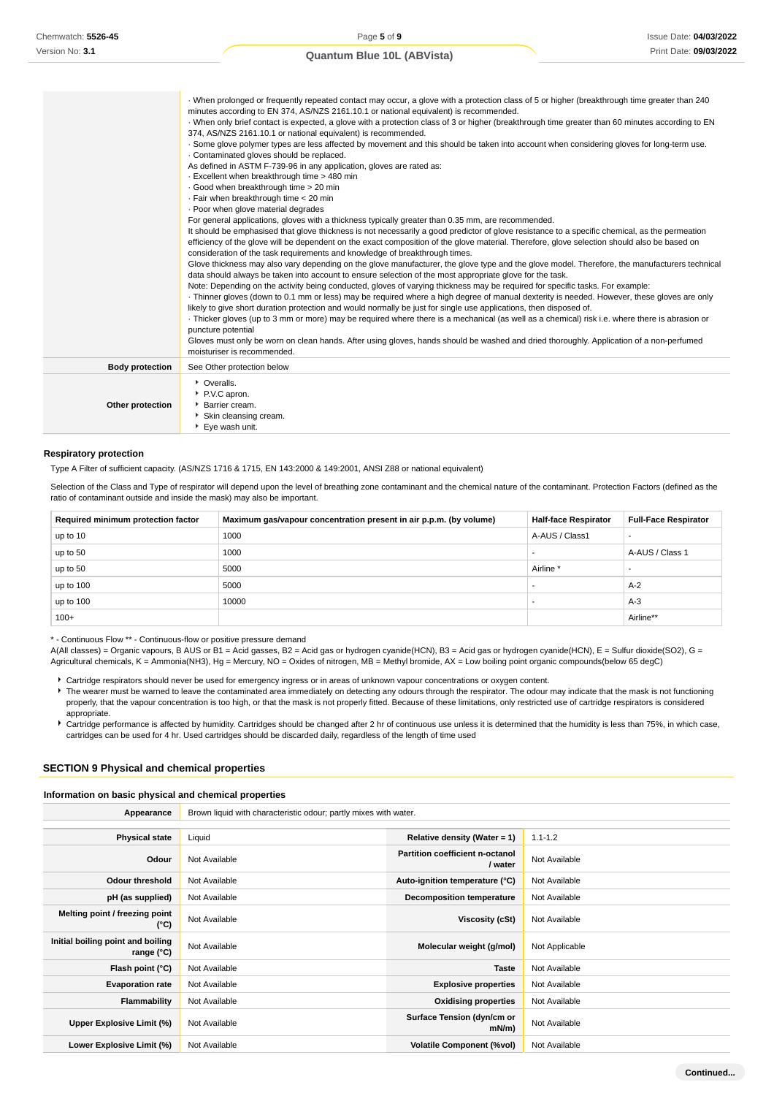|                        | When prolonged or frequently repeated contact may occur, a glove with a protection class of 5 or higher (breakthrough time greater than 240      |
|------------------------|--------------------------------------------------------------------------------------------------------------------------------------------------|
|                        | minutes according to EN 374, AS/NZS 2161.10.1 or national equivalent) is recommended.                                                            |
|                        | · When only brief contact is expected, a glove with a protection class of 3 or higher (breakthrough time greater than 60 minutes according to EN |
|                        | 374, AS/NZS 2161.10.1 or national equivalent) is recommended.                                                                                    |
|                        | . Some glove polymer types are less affected by movement and this should be taken into account when considering gloves for long-term use.        |
|                        | . Contaminated gloves should be replaced.                                                                                                        |
|                        | As defined in ASTM F-739-96 in any application, gloves are rated as:                                                                             |
|                        | - Excellent when breakthrough time > 480 min                                                                                                     |
|                        | · Good when breakthrough time > 20 min                                                                                                           |
|                        | · Fair when breakthrough time < 20 min                                                                                                           |
|                        | · Poor when glove material degrades                                                                                                              |
|                        | For general applications, gloves with a thickness typically greater than 0.35 mm, are recommended.                                               |
|                        | It should be emphasised that glove thickness is not necessarily a good predictor of glove resistance to a specific chemical, as the permeation   |
|                        | efficiency of the glove will be dependent on the exact composition of the glove material. Therefore, glove selection should also be based on     |
|                        | consideration of the task requirements and knowledge of breakthrough times.                                                                      |
|                        | Glove thickness may also vary depending on the glove manufacturer, the glove type and the glove model. Therefore, the manufacturers technical    |
|                        | data should always be taken into account to ensure selection of the most appropriate glove for the task.                                         |
|                        | Note: Depending on the activity being conducted, gloves of varying thickness may be required for specific tasks. For example:                    |
|                        | Thinner gloves (down to 0.1 mm or less) may be required where a high degree of manual dexterity is needed. However, these gloves are only        |
|                        | likely to give short duration protection and would normally be just for single use applications, then disposed of.                               |
|                        | Thicker gloves (up to 3 mm or more) may be required where there is a mechanical (as well as a chemical) risk i.e. where there is abrasion or     |
|                        | puncture potential                                                                                                                               |
|                        | Gloves must only be worn on clean hands. After using gloves, hands should be washed and dried thoroughly. Application of a non-perfumed          |
|                        | moisturiser is recommended.                                                                                                                      |
| <b>Body protection</b> | See Other protection below                                                                                                                       |
|                        | • Overalls.                                                                                                                                      |
|                        | P.V.C apron.                                                                                                                                     |
| Other protection       | ▶ Barrier cream.                                                                                                                                 |
|                        | Skin cleansing cream.                                                                                                                            |
|                        | ▶ Eye wash unit.                                                                                                                                 |
|                        |                                                                                                                                                  |

#### **Respiratory protection**

Type A Filter of sufficient capacity. (AS/NZS 1716 & 1715, EN 143:2000 & 149:2001, ANSI Z88 or national equivalent)

Selection of the Class and Type of respirator will depend upon the level of breathing zone contaminant and the chemical nature of the contaminant. Protection Factors (defined as the ratio of contaminant outside and inside the mask) may also be important.

| Required minimum protection factor | Maximum gas/vapour concentration present in air p.p.m. (by volume) | <b>Half-face Respirator</b> | <b>Full-Face Respirator</b> |
|------------------------------------|--------------------------------------------------------------------|-----------------------------|-----------------------------|
| up to 10                           | 1000                                                               | A-AUS / Class1              |                             |
| up to 50                           | 1000                                                               |                             | A-AUS / Class 1             |
| up to 50                           | 5000                                                               | Airline <sup>*</sup>        |                             |
| up to 100                          | 5000                                                               |                             | $A-2$                       |
| up to 100                          | 10000                                                              |                             | $A-3$                       |
| $100+$                             |                                                                    |                             | Airline**                   |

\* - Continuous Flow \*\* - Continuous-flow or positive pressure demand

A(All classes) = Organic vapours, B AUS or B1 = Acid gasses, B2 = Acid gas or hydrogen cyanide(HCN), B3 = Acid gas or hydrogen cyanide(HCN), E = Sulfur dioxide(SO2), G = Agricultural chemicals, K = Ammonia(NH3), Hg = Mercury, NO = Oxides of nitrogen, MB = Methyl bromide, AX = Low boiling point organic compounds(below 65 degC)

Cartridge respirators should never be used for emergency ingress or in areas of unknown vapour concentrations or oxygen content.

The wearer must be warned to leave the contaminated area immediately on detecting any odours through the respirator. The odour may indicate that the mask is not functioning properly, that the vapour concentration is too high, or that the mask is not properly fitted. Because of these limitations, only restricted use of cartridge respirators is considered appropriate.

Cartridge performance is affected by humidity. Cartridges should be changed after 2 hr of continuous use unless it is determined that the humidity is less than 75%, in which case, cartridges can be used for 4 hr. Used cartridges should be discarded daily, regardless of the length of time used

### **SECTION 9 Physical and chemical properties**

#### **Information on basic physical and chemical properties**

| Appearance                                      | Brown liquid with characteristic odour; partly mixes with water. |                                                   |                |  |  |
|-------------------------------------------------|------------------------------------------------------------------|---------------------------------------------------|----------------|--|--|
|                                                 |                                                                  |                                                   |                |  |  |
| <b>Physical state</b>                           | Liquid                                                           | Relative density (Water = $1$ )                   | $1.1 - 1.2$    |  |  |
| Odour                                           | Not Available                                                    | <b>Partition coefficient n-octanol</b><br>/ water | Not Available  |  |  |
| <b>Odour threshold</b>                          | Not Available                                                    | Auto-ignition temperature (°C)                    | Not Available  |  |  |
| pH (as supplied)                                | Not Available                                                    | <b>Decomposition temperature</b>                  | Not Available  |  |  |
| Melting point / freezing point<br>(°C)          | Not Available                                                    | Viscosity (cSt)                                   | Not Available  |  |  |
| Initial boiling point and boiling<br>range (°C) | Not Available                                                    | Molecular weight (g/mol)                          | Not Applicable |  |  |
| Flash point (°C)                                | Not Available                                                    | <b>Taste</b>                                      | Not Available  |  |  |
| <b>Evaporation rate</b>                         | Not Available                                                    | <b>Explosive properties</b>                       | Not Available  |  |  |
| Flammability                                    | Not Available                                                    | <b>Oxidising properties</b>                       | Not Available  |  |  |
| Upper Explosive Limit (%)                       | Not Available                                                    | Surface Tension (dyn/cm or<br>mN/m                | Not Available  |  |  |
| Lower Explosive Limit (%)                       | Not Available                                                    | <b>Volatile Component (%vol)</b>                  | Not Available  |  |  |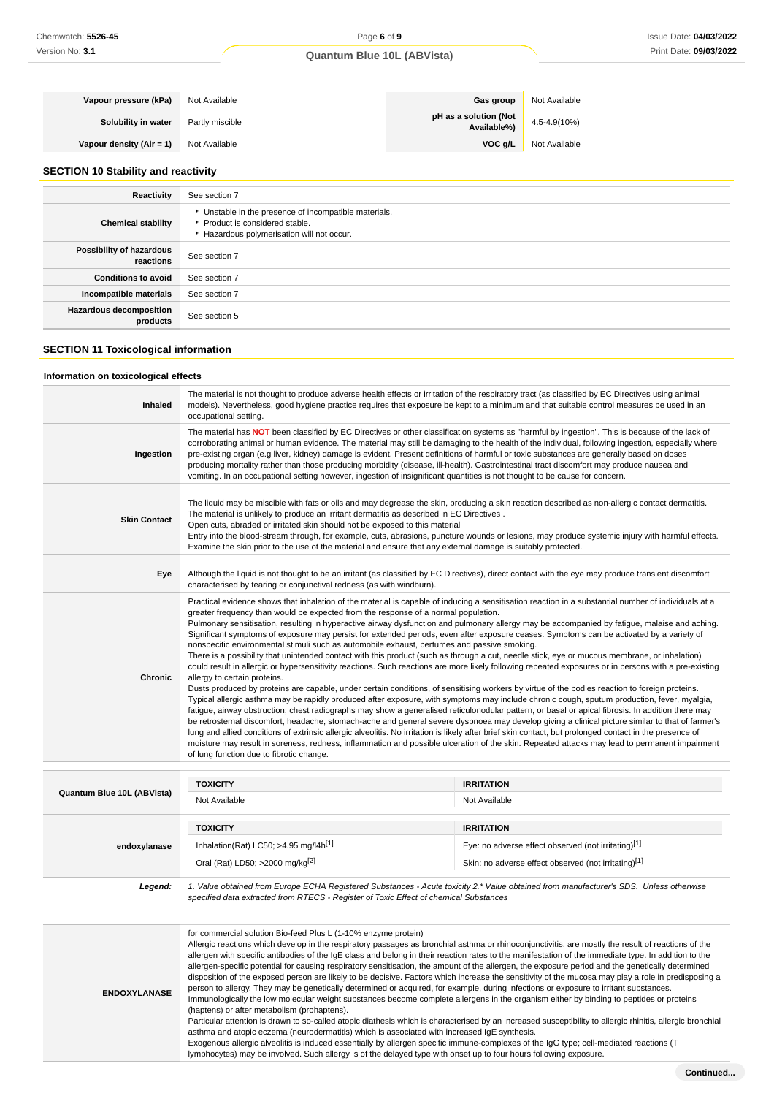| Vapour pressure (kPa)            | Not Available   | Gas group                            | Not Available     |
|----------------------------------|-----------------|--------------------------------------|-------------------|
| Solubility in water              | Partly miscible | pH as a solution (Not<br>Available%) | $4.5 - 4.9(10\%)$ |
| Vapour density (Air = 1) $\vert$ | Not Available   | VOC g/L                              | Not Available     |

## **SECTION 10 Stability and reactivity**

| Reactivity                                 | See section 7                                                                                                                      |
|--------------------------------------------|------------------------------------------------------------------------------------------------------------------------------------|
| <b>Chemical stability</b>                  | Unstable in the presence of incompatible materials.<br>▶ Product is considered stable.<br>Hazardous polymerisation will not occur. |
| Possibility of hazardous<br>reactions      | See section 7                                                                                                                      |
| <b>Conditions to avoid</b>                 | See section 7                                                                                                                      |
| Incompatible materials                     | See section 7                                                                                                                      |
| <b>Hazardous decomposition</b><br>products | See section 5                                                                                                                      |

## **SECTION 11 Toxicological information**

## **Information on toxicological effects**

| Inhaled             | The material is not thought to produce adverse health effects or irritation of the respiratory tract (as classified by EC Directives using animal<br>models). Nevertheless, good hygiene practice requires that exposure be kept to a minimum and that suitable control measures be used in an<br>occupational setting.                                                                                                                                                                                                                                                                                                                                                                                                                                                                                                                                                                                                                                                                                                                                                                                                                                                                                                                                                                                                                                                                                                                                                                                                                                                                                                                                                                                                                                                                                                                                                                                                                            |
|---------------------|----------------------------------------------------------------------------------------------------------------------------------------------------------------------------------------------------------------------------------------------------------------------------------------------------------------------------------------------------------------------------------------------------------------------------------------------------------------------------------------------------------------------------------------------------------------------------------------------------------------------------------------------------------------------------------------------------------------------------------------------------------------------------------------------------------------------------------------------------------------------------------------------------------------------------------------------------------------------------------------------------------------------------------------------------------------------------------------------------------------------------------------------------------------------------------------------------------------------------------------------------------------------------------------------------------------------------------------------------------------------------------------------------------------------------------------------------------------------------------------------------------------------------------------------------------------------------------------------------------------------------------------------------------------------------------------------------------------------------------------------------------------------------------------------------------------------------------------------------------------------------------------------------------------------------------------------------|
| Ingestion           | The material has NOT been classified by EC Directives or other classification systems as "harmful by ingestion". This is because of the lack of<br>corroborating animal or human evidence. The material may still be damaging to the health of the individual, following ingestion, especially where<br>pre-existing organ (e.g liver, kidney) damage is evident. Present definitions of harmful or toxic substances are generally based on doses<br>producing mortality rather than those producing morbidity (disease, ill-health). Gastrointestinal tract discomfort may produce nausea and<br>vomiting. In an occupational setting however, ingestion of insignificant quantities is not thought to be cause for concern.                                                                                                                                                                                                                                                                                                                                                                                                                                                                                                                                                                                                                                                                                                                                                                                                                                                                                                                                                                                                                                                                                                                                                                                                                      |
| <b>Skin Contact</b> | The liquid may be miscible with fats or oils and may degrease the skin, producing a skin reaction described as non-allergic contact dermatitis.<br>The material is unlikely to produce an irritant dermatitis as described in EC Directives.<br>Open cuts, abraded or irritated skin should not be exposed to this material<br>Entry into the blood-stream through, for example, cuts, abrasions, puncture wounds or lesions, may produce systemic injury with harmful effects.<br>Examine the skin prior to the use of the material and ensure that any external damage is suitably protected.                                                                                                                                                                                                                                                                                                                                                                                                                                                                                                                                                                                                                                                                                                                                                                                                                                                                                                                                                                                                                                                                                                                                                                                                                                                                                                                                                    |
| Eye                 | Although the liquid is not thought to be an irritant (as classified by EC Directives), direct contact with the eye may produce transient discomfort<br>characterised by tearing or conjunctival redness (as with windburn).                                                                                                                                                                                                                                                                                                                                                                                                                                                                                                                                                                                                                                                                                                                                                                                                                                                                                                                                                                                                                                                                                                                                                                                                                                                                                                                                                                                                                                                                                                                                                                                                                                                                                                                        |
| Chronic             | Practical evidence shows that inhalation of the material is capable of inducing a sensitisation reaction in a substantial number of individuals at a<br>greater frequency than would be expected from the response of a normal population.<br>Pulmonary sensitisation, resulting in hyperactive airway dysfunction and pulmonary allergy may be accompanied by fatigue, malaise and aching.<br>Significant symptoms of exposure may persist for extended periods, even after exposure ceases. Symptoms can be activated by a variety of<br>nonspecific environmental stimuli such as automobile exhaust, perfumes and passive smoking.<br>There is a possibility that unintended contact with this product (such as through a cut, needle stick, eye or mucous membrane, or inhalation)<br>could result in allergic or hypersensitivity reactions. Such reactions are more likely following repeated exposures or in persons with a pre-existing<br>allergy to certain proteins.<br>Dusts produced by proteins are capable, under certain conditions, of sensitising workers by virtue of the bodies reaction to foreign proteins.<br>Typical allergic asthma may be rapidly produced after exposure, with symptoms may include chronic cough, sputum production, fever, myalgia,<br>fatigue, airway obstruction; chest radiographs may show a generalised reticulonodular pattern, or basal or apical fibrosis. In addition there may<br>be retrosternal discomfort, headache, stomach-ache and general severe dyspnoea may develop giving a clinical picture similar to that of farmer's<br>lung and allied conditions of extrinsic allergic alveolitis. No irritation is likely after brief skin contact, but prolonged contact in the presence of<br>moisture may result in soreness, redness, inflammation and possible ulceration of the skin. Repeated attacks may lead to permanent impairment<br>of lung function due to fibrotic change. |

| Quantum Blue 10L (ABVista) | <b>TOXICITY</b>                                                                                                                        | <b>IRRITATION</b>                                    |  |
|----------------------------|----------------------------------------------------------------------------------------------------------------------------------------|------------------------------------------------------|--|
|                            | Not Available                                                                                                                          | Not Available                                        |  |
|                            |                                                                                                                                        |                                                      |  |
|                            | <b>TOXICITY</b>                                                                                                                        | <b>IRRITATION</b>                                    |  |
| endoxylanase               | Inhalation(Rat) LC50; >4.95 mg/l4h <sup>[1]</sup>                                                                                      | Eye: no adverse effect observed (not irritating)[1]  |  |
|                            | Oral (Rat) LD50; >2000 mg/kg[2]                                                                                                        | Skin: no adverse effect observed (not irritating)[1] |  |
| Legend:                    | 1. Value obtained from Europe ECHA Registered Substances - Acute toxicity 2.* Value obtained from manufacturer's SDS. Unless otherwise |                                                      |  |
|                            | specified data extracted from RTECS - Register of Toxic Effect of chemical Substances                                                  |                                                      |  |

| for commercial solution Bio-feed Plus L (1-10% enzyme protein)<br>Allergic reactions which develop in the respiratory passages as bronchial asthma or rhinoconjunctivitis, are mostly the result of reactions of the<br>allergen with specific antibodies of the IgE class and belong in their reaction rates to the manifestation of the immediate type. In addition to the<br>allergen-specific potential for causing respiratory sensitisation, the amount of the allergen, the exposure period and the genetically determined<br>disposition of the exposed person are likely to be decisive. Factors which increase the sensitivity of the mucosa may play a role in predisposing a<br>person to allergy. They may be genetically determined or acquired, for example, during infections or exposure to irritant substances.<br><b>ENDOXYLANASE</b><br>Immunologically the low molecular weight substances become complete allergens in the organism either by binding to peptides or proteins<br>(haptens) or after metabolism (prohaptens).<br>Particular attention is drawn to so-called atopic diathesis which is characterised by an increased susceptibility to allergic rhinitis, allergic bronchial<br>asthma and atopic eczema (neurodermatitis) which is associated with increased IqE synthesis.<br>Exogenous allergic alveolitis is induced essentially by allergen specific immune-complexes of the IgG type; cell-mediated reactions (T<br>lymphocytes) may be involved. Such allergy is of the delayed type with onset up to four hours following exposure. |  |
|---------------------------------------------------------------------------------------------------------------------------------------------------------------------------------------------------------------------------------------------------------------------------------------------------------------------------------------------------------------------------------------------------------------------------------------------------------------------------------------------------------------------------------------------------------------------------------------------------------------------------------------------------------------------------------------------------------------------------------------------------------------------------------------------------------------------------------------------------------------------------------------------------------------------------------------------------------------------------------------------------------------------------------------------------------------------------------------------------------------------------------------------------------------------------------------------------------------------------------------------------------------------------------------------------------------------------------------------------------------------------------------------------------------------------------------------------------------------------------------------------------------------------------------------------------------------------------|--|
|                                                                                                                                                                                                                                                                                                                                                                                                                                                                                                                                                                                                                                                                                                                                                                                                                                                                                                                                                                                                                                                                                                                                                                                                                                                                                                                                                                                                                                                                                                                                                                                 |  |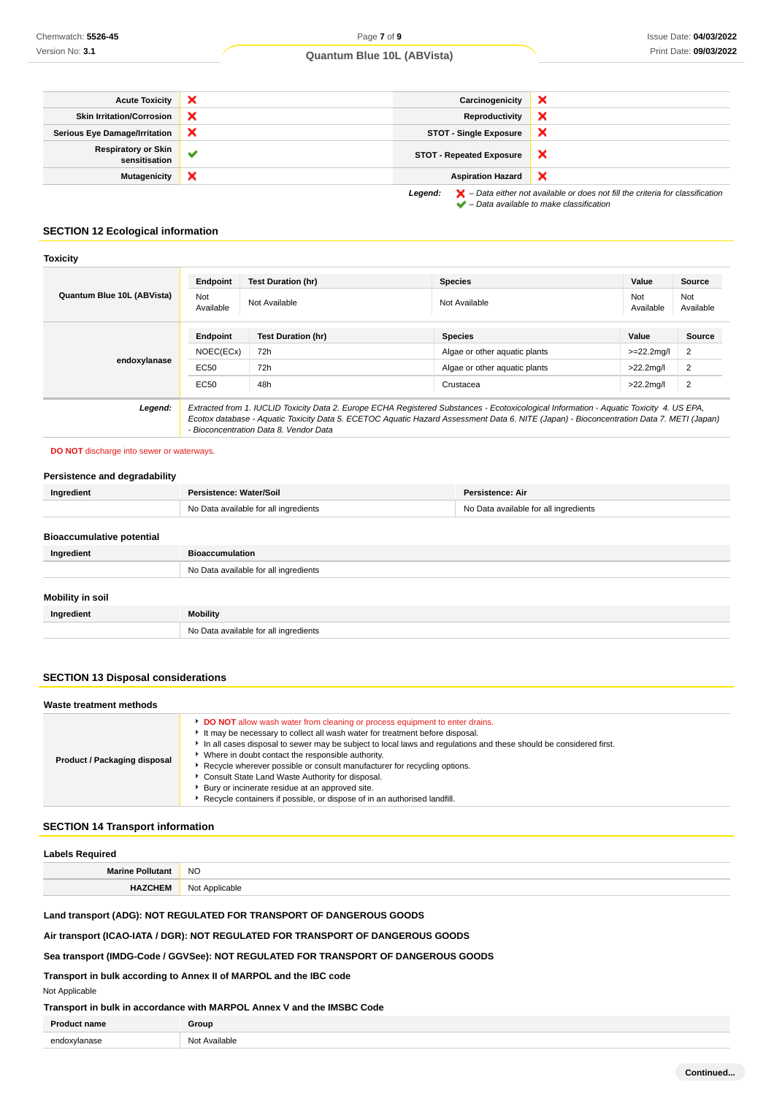| <b>Acute Toxicity</b>                       | ×            | Carcinogenicity                 | ×                                                                                                                                                                   |
|---------------------------------------------|--------------|---------------------------------|---------------------------------------------------------------------------------------------------------------------------------------------------------------------|
| <b>Skin Irritation/Corrosion</b>            | ×            | Reproductivity                  | ×                                                                                                                                                                   |
| <b>Serious Eye Damage/Irritation</b>        | ×            | <b>STOT - Single Exposure</b>   | ×                                                                                                                                                                   |
| <b>Respiratory or Skin</b><br>sensitisation | $\checkmark$ | <b>STOT - Repeated Exposure</b> | ×                                                                                                                                                                   |
| <b>Mutagenicity</b>                         | ×            | <b>Aspiration Hazard</b>        | ×                                                                                                                                                                   |
|                                             |              | Legend:                         | $\blacktriangleright$ - Data either not available or does not fill the criteria for classification<br>$\blacktriangleright$ - Data available to make classification |

## **SECTION 12 Ecological information**

#### **Toxicity**

| Quantum Blue 10L (ABVista) | Endpoint         | <b>Test Duration (hr)</b>                                                                                                                                                                                                                                                                                                      | <b>Species</b>                | Value            | <b>Source</b>    |
|----------------------------|------------------|--------------------------------------------------------------------------------------------------------------------------------------------------------------------------------------------------------------------------------------------------------------------------------------------------------------------------------|-------------------------------|------------------|------------------|
|                            | Not<br>Available | Not Available                                                                                                                                                                                                                                                                                                                  | Not Available                 | Not<br>Available | Not<br>Available |
|                            | Endpoint         | <b>Test Duration (hr)</b>                                                                                                                                                                                                                                                                                                      | <b>Species</b>                | Value            | Source           |
|                            | NOEC(ECx)        | 72h                                                                                                                                                                                                                                                                                                                            | Algae or other aguatic plants | $>=22.2$ mg/l    | 2                |
| endoxylanase               | EC50             | 72h                                                                                                                                                                                                                                                                                                                            | Algae or other aguatic plants | $>22.2$ mg/l     | 2                |
|                            | EC50             | 48h                                                                                                                                                                                                                                                                                                                            | Crustacea                     | $>22.2$ mg/l     | 2                |
| Legend:                    |                  | Extracted from 1. IUCLID Toxicity Data 2. Europe ECHA Registered Substances - Ecotoxicological Information - Aquatic Toxicity 4. US EPA,<br>Ecotox database - Aquatic Toxicity Data 5. ECETOC Aquatic Hazard Assessment Data 6. NITE (Japan) - Bioconcentration Data 7. METI (Japan)<br>- Bioconcentration Data 8. Vendor Data |                               |                  |                  |

### **DO NOT** discharge into sewer or waterways.

## **Persistence and degradability**

| Ingredient                       | Persistence: Water/Soil               | Persistence: Air                      |
|----------------------------------|---------------------------------------|---------------------------------------|
|                                  | No Data available for all ingredients | No Data available for all ingredients |
| <b>Bioaccumulative potential</b> |                                       |                                       |
| Ingredient                       | <b>Bioaccumulation</b>                |                                       |
|                                  | No Data available for all ingredients |                                       |
| Mobility in soil                 |                                       |                                       |
| Ingredient                       | <b>Mobility</b>                       |                                       |

## **SECTION 13 Disposal considerations**

| Waste treatment methods      |                                                                                                                                                                                                                                                                                                                                                                                                                                                                                                                                                                                                            |
|------------------------------|------------------------------------------------------------------------------------------------------------------------------------------------------------------------------------------------------------------------------------------------------------------------------------------------------------------------------------------------------------------------------------------------------------------------------------------------------------------------------------------------------------------------------------------------------------------------------------------------------------|
| Product / Packaging disposal | DO NOT allow wash water from cleaning or process equipment to enter drains.<br>It may be necessary to collect all wash water for treatment before disposal.<br>In all cases disposal to sewer may be subject to local laws and regulations and these should be considered first.<br>▶ Where in doubt contact the responsible authority.<br>▶ Recycle wherever possible or consult manufacturer for recycling options.<br>Consult State Land Waste Authority for disposal.<br>▶ Bury or incinerate residue at an approved site.<br>Recycle containers if possible, or dispose of in an authorised landfill. |

## **SECTION 14 Transport information**

# **Labels Required Marine Pollutant** NO **HAZCHEM** Not Applicable

## **Land transport (ADG): NOT REGULATED FOR TRANSPORT OF DANGEROUS GOODS**

**Air transport (ICAO-IATA / DGR): NOT REGULATED FOR TRANSPORT OF DANGEROUS GOODS**

No Data available for all ingredients

## **Sea transport (IMDG-Code / GGVSee): NOT REGULATED FOR TRANSPORT OF DANGEROUS GOODS**

## **Transport in bulk according to Annex II of MARPOL and the IBC code**

Not Applicable

## **Transport in bulk in accordance with MARPOL Annex V and the IMSBC Code**

| <b>Dras</b><br>าame | `roup<br>$\sim$ |
|---------------------|-----------------|
| $\sim$              | ヽl⌒も            |
| .                   | ilable          |
|                     | .               |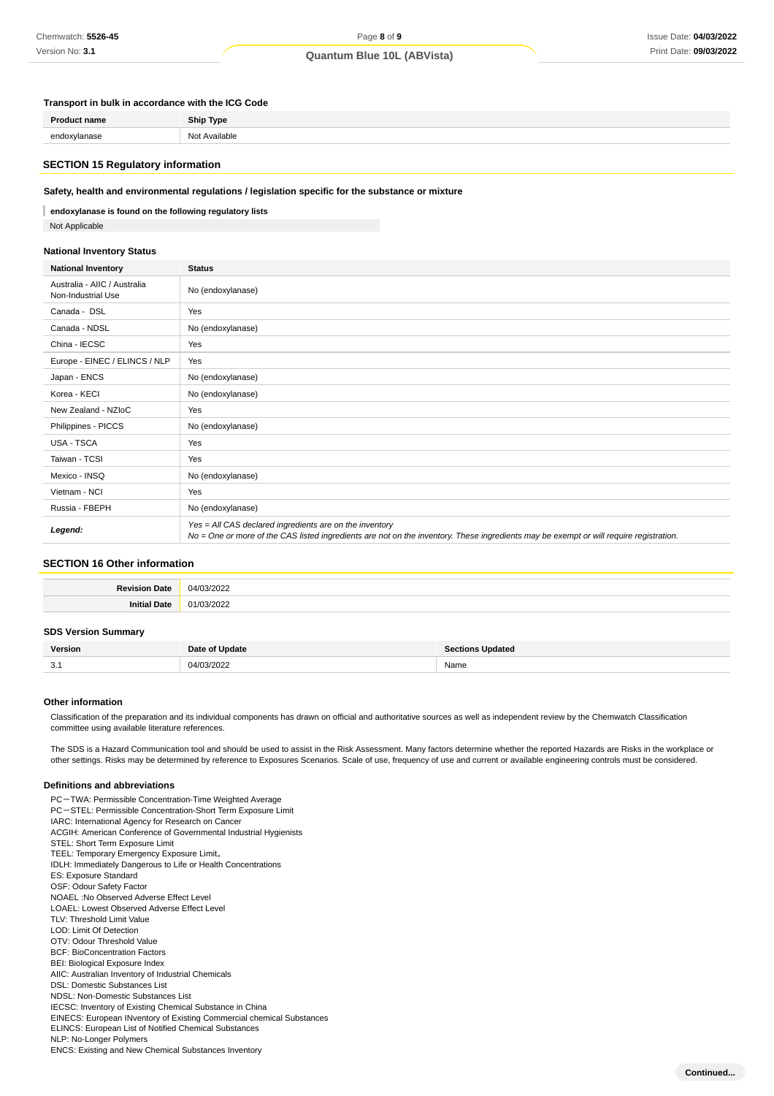## Page **8** of **9 Quantum Blue 10L (ABVista)**

#### **Transport in bulk in accordance with the ICG Code**

### **SECTION 15 Regulatory information**

### **Safety, health and environmental regulations / legislation specific for the substance or mixture**

I **endoxylanase is found on the following regulatory lists** Not Applicable

## **National Inventory Status**

| <b>National Inventory</b>                          | <b>Status</b>                                                                                                                                                                                     |  |
|----------------------------------------------------|---------------------------------------------------------------------------------------------------------------------------------------------------------------------------------------------------|--|
| Australia - AIIC / Australia<br>Non-Industrial Use | No (endoxylanase)                                                                                                                                                                                 |  |
| Canada - DSL                                       | Yes                                                                                                                                                                                               |  |
| Canada - NDSL                                      | No (endoxylanase)                                                                                                                                                                                 |  |
| China - IECSC                                      | Yes                                                                                                                                                                                               |  |
| Europe - EINEC / ELINCS / NLP                      | Yes                                                                                                                                                                                               |  |
| Japan - ENCS                                       | No (endoxylanase)                                                                                                                                                                                 |  |
| Korea - KECI                                       | No (endoxylanase)                                                                                                                                                                                 |  |
| New Zealand - NZIoC                                | Yes                                                                                                                                                                                               |  |
| Philippines - PICCS                                | No (endoxylanase)                                                                                                                                                                                 |  |
| <b>USA - TSCA</b>                                  | Yes                                                                                                                                                                                               |  |
| Taiwan - TCSI                                      | Yes                                                                                                                                                                                               |  |
| Mexico - INSQ                                      | No (endoxylanase)                                                                                                                                                                                 |  |
| Vietnam - NCI                                      | Yes                                                                                                                                                                                               |  |
| Russia - FBEPH                                     | No (endoxylanase)                                                                                                                                                                                 |  |
| Legend:                                            | Yes = All CAS declared ingredients are on the inventory<br>No = One or more of the CAS listed ingredients are not on the inventory. These ingredients may be exempt or will require registration. |  |

### **SECTION 16 Other information**

| <b>Revision</b><br><b>Date</b> | $\sim$<br>$\Omega$<br> |
|--------------------------------|------------------------|
| ınit <sup>.</sup><br>'Jate     |                        |

## **SDS Version Summary**

| $\sim$<br>J.1 | ۱л | Name |
|---------------|----|------|

#### **Other information**

Classification of the preparation and its individual components has drawn on official and authoritative sources as well as independent review by the Chemwatch Classification committee using available literature references.

The SDS is a Hazard Communication tool and should be used to assist in the Risk Assessment. Many factors determine whether the reported Hazards are Risks in the workplace or other settings. Risks may be determined by reference to Exposures Scenarios. Scale of use, frequency of use and current or available engineering controls must be considered.

#### **Definitions and abbreviations**

PC-TWA: Permissible Concentration-Time Weighted Average PC-STEL: Permissible Concentration-Short Term Exposure Limit IARC: International Agency for Research on Cancer ACGIH: American Conference of Governmental Industrial Hygienists STEL: Short Term Exposure Limit TEEL: Temporary Emergency Exposure Limit。 IDLH: Immediately Dangerous to Life or Health Concentrations ES: Exposure Standard OSF: Odour Safety Factor NOAEL :No Observed Adverse Effect Level LOAEL: Lowest Observed Adverse Effect Level TLV: Threshold Limit Value LOD: Limit Of Detection OTV: Odour Threshold Value BCF: BioConcentration Factors BEI: Biological Exposure Index AIIC: Australian Inventory of Industrial Chemicals DSL: Domestic Substances List NDSL: Non-Domestic Substances List IECSC: Inventory of Existing Chemical Substance in China EINECS: European INventory of Existing Commercial chemical Substances ELINCS: European List of Notified Chemical Substances NLP: No-Longer Polymers ENCS: Existing and New Chemical Substances Inventory